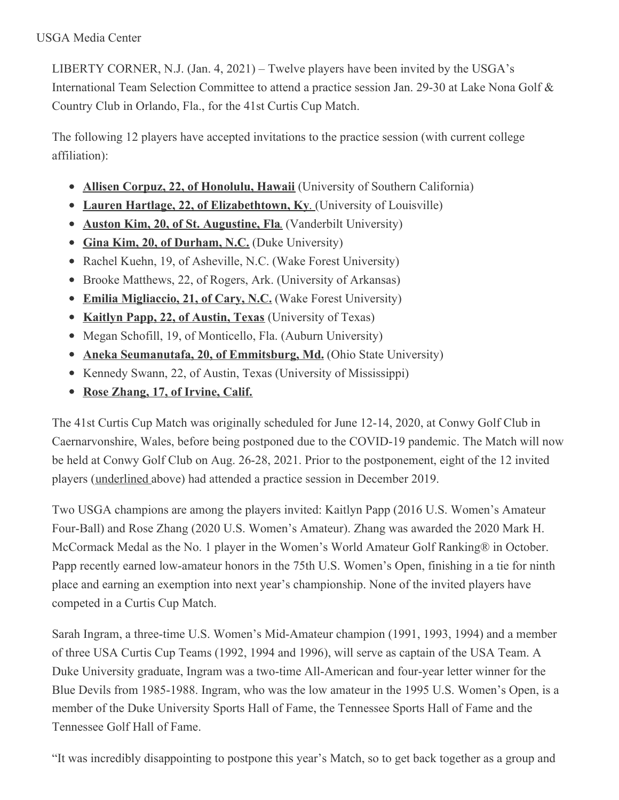LIBERTY CORNER, N.J. (Jan. 4, 2021) – Twelve players have been invited by the USGA's International Team Selection Committee to attend a practice session Jan. 29-30 at Lake Nona Golf & Country Club in Orlando, Fla., for the 41st Curtis Cup Match.

The following 12 players have accepted invitations to the practice session (with current college affiliation):

- **Allisen Corpuz, 22, of Honolulu, Hawaii** (University of Southern California)
- **Lauren Hartlage, 22, of Elizabethtown, Ky**. (University of Louisville)
- **Auston Kim, 20, of St. Augustine, Fla**. (Vanderbilt University)
- **Gina Kim, 20, of Durham, N.C.** (Duke University)
- Rachel Kuehn, 19, of Asheville, N.C. (Wake Forest University)
- Brooke Matthews, 22, of Rogers, Ark. (University of Arkansas)
- **Emilia Migliaccio, 21, of Cary, N.C.** (Wake Forest University)
- **Kaitlyn Papp, 22, of Austin, Texas** (University of Texas)
- Megan Schofill, 19, of Monticello, Fla. (Auburn University)
- **Aneka Seumanutafa, 20, of Emmitsburg, Md.** (Ohio State University)
- Kennedy Swann, 22, of Austin, Texas (University of Mississippi)
- **Rose Zhang, 17, of Irvine, Calif.**

The 41st Curtis Cup Match was originally scheduled for June 12-14, 2020, at Conwy Golf Club in Caernarvonshire, Wales, before being postponed due to the COVID-19 pandemic. The Match will now be held at Conwy Golf Club on Aug. 26-28, 2021. Prior to the postponement, eight of the 12 invited players (underlined above) had attended a practice session in December 2019.

Two USGA champions are among the players invited: Kaitlyn Papp (2016 U.S. Women's Amateur Four-Ball) and Rose Zhang (2020 U.S. Women's Amateur). Zhang was awarded the 2020 Mark H. McCormack Medal as the No. 1 player in the Women's World Amateur Golf Ranking® in October. Papp recently earned low-amateur honors in the 75th U.S. Women's Open, finishing in a tie for ninth place and earning an exemption into next year's championship. None of the invited players have competed in a Curtis Cup Match.

Sarah Ingram, a three-time U.S. Women's Mid-Amateur champion (1991, 1993, 1994) and a member of three USA Curtis Cup Teams (1992, 1994 and 1996), will serve as captain of the USA Team. A Duke University graduate, Ingram was a two-time All-American and four-year letter winner for the Blue Devils from 1985-1988. Ingram, who was the low amateur in the 1995 U.S. Women's Open, is a member of the Duke University Sports Hall of Fame, the Tennessee Sports Hall of Fame and the Tennessee Golf Hall of Fame.

"It was incredibly disappointing to postpone this year's Match, so to get back together as a group and